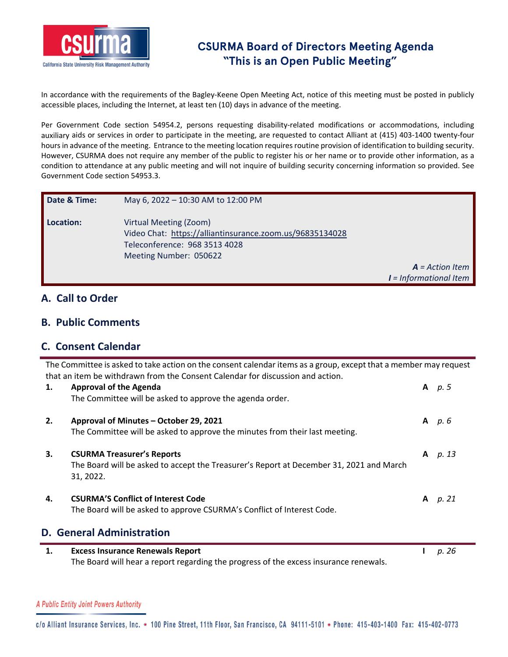

In accordance with the requirements of the Bagley-Keene Open Meeting Act, notice of this meeting must be posted in publicly accessible places, including the Internet, at least ten (10) days in advance of the meeting.

Per Government Code section 54954.2, persons requesting disability-related modifications or accommodations, including auxiliary aids or services in order to participate in the meeting, are requested to contact Alliant at (415) 403‐1400 twenty‐four hours in advance of the meeting. Entrance to the meeting location requires routine provision of identification to building security. However, CSURMA does not require any member of the public to register his or her name or to provide other information, as a condition to attendance at any public meeting and will not inquire of building security concerning information so provided. See Government Code section 54953.3.

| Date & Time: | May 6, 2022 - 10:30 AM to 12:00 PM                                                                                                            |                                               |
|--------------|-----------------------------------------------------------------------------------------------------------------------------------------------|-----------------------------------------------|
| Location:    | Virtual Meeting (Zoom)<br>Video Chat: https://alliantinsurance.zoom.us/96835134028<br>Teleconference: 968 3513 4028<br>Meeting Number: 050622 | $A = Action$ Item<br>$I = Informational$ Item |

## **A. Call to Order**

## **B. Public Comments**

## **C. Consent Calendar**

The Committee is asked to take action on the consent calendar items as a group, except that a member may request that an item be withdrawn from the Consent Calendar for discussion and action.

| 1. | <b>Approval of the Agenda</b><br>The Committee will be asked to approve the agenda order.                                                 |   | A $p.5$   |
|----|-------------------------------------------------------------------------------------------------------------------------------------------|---|-----------|
| 2. | Approval of Minutes - October 29, 2021<br>The Committee will be asked to approve the minutes from their last meeting.                     |   | $A$ $p.6$ |
| 3. | <b>CSURMA Treasurer's Reports</b><br>The Board will be asked to accept the Treasurer's Report at December 31, 2021 and March<br>31, 2022. |   | A p. 13   |
| 4. | <b>CSURMA'S Conflict of Interest Code</b><br>The Board will be asked to approve CSURMA's Conflict of Interest Code.                       | A | p. 21     |
|    | <b>D. General Administration</b>                                                                                                          |   |           |
| 1. | <b>Excess Insurance Renewals Report</b><br>The Board will hear a report regarding the progress of the excess insurance renewals.          |   | p. 26     |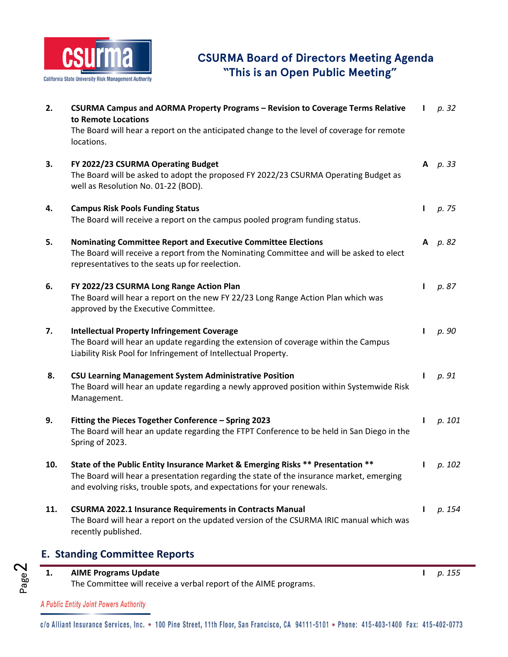

| 2.                                   | CSURMA Campus and AORMA Property Programs - Revision to Coverage Terms Relative<br>to Remote Locations                                                                                                                                                |              | p. 32   |  |  |  |
|--------------------------------------|-------------------------------------------------------------------------------------------------------------------------------------------------------------------------------------------------------------------------------------------------------|--------------|---------|--|--|--|
|                                      | The Board will hear a report on the anticipated change to the level of coverage for remote<br>locations.                                                                                                                                              |              |         |  |  |  |
| 3.                                   | FY 2022/23 CSURMA Operating Budget<br>The Board will be asked to adopt the proposed FY 2022/23 CSURMA Operating Budget as<br>well as Resolution No. 01-22 (BOD).                                                                                      | A            | p. 33   |  |  |  |
| 4.                                   | <b>Campus Risk Pools Funding Status</b><br>The Board will receive a report on the campus pooled program funding status.                                                                                                                               | L            | p. 75   |  |  |  |
| 5.                                   | <b>Nominating Committee Report and Executive Committee Elections</b><br>The Board will receive a report from the Nominating Committee and will be asked to elect<br>representatives to the seats up for reelection.                                   |              | A p. 82 |  |  |  |
| 6.                                   | FY 2022/23 CSURMA Long Range Action Plan<br>The Board will hear a report on the new FY 22/23 Long Range Action Plan which was<br>approved by the Executive Committee.                                                                                 | $\mathbf{I}$ | p. 87   |  |  |  |
| 7.                                   | <b>Intellectual Property Infringement Coverage</b><br>The Board will hear an update regarding the extension of coverage within the Campus<br>Liability Risk Pool for Infringement of Intellectual Property.                                           | L            | p. 90   |  |  |  |
| 8.                                   | <b>CSU Learning Management System Administrative Position</b><br>The Board will hear an update regarding a newly approved position within Systemwide Risk<br>Management.                                                                              | $\mathbf{I}$ | p. 91   |  |  |  |
| 9.                                   | Fitting the Pieces Together Conference - Spring 2023<br>The Board will hear an update regarding the FTPT Conference to be held in San Diego in the<br>Spring of 2023.                                                                                 | L            | p. 101  |  |  |  |
| 10.                                  | State of the Public Entity Insurance Market & Emerging Risks ** Presentation **<br>The Board will hear a presentation regarding the state of the insurance market, emerging<br>and evolving risks, trouble spots, and expectations for your renewals. | $\mathbf{I}$ | p. 102  |  |  |  |
| 11.                                  | <b>CSURMA 2022.1 Insurance Requirements in Contracts Manual</b><br>The Board will hear a report on the updated version of the CSURMA IRIC manual which was<br>recently published.                                                                     | I.           | p. 154  |  |  |  |
| <b>E. Standing Committee Reports</b> |                                                                                                                                                                                                                                                       |              |         |  |  |  |



A Public Entity Joint Powers Authority

Page2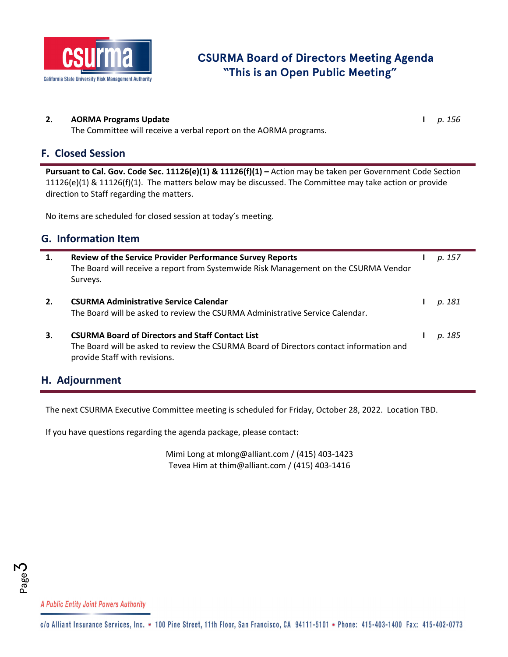

#### **2. AORMA Programs Update I** *p. 156*

The Committee will receive a verbal report on the AORMA programs.

### **F. Closed Session**

**Pursuant to Cal. Gov. Code Sec. 11126(e)(1) & 11126(f)(1) –** Action may be taken per Government Code Section 11126(e)(1) & 11126(f)(1). The matters below may be discussed. The Committee may take action or provide direction to Staff regarding the matters.

No items are scheduled for closed session at today's meeting.

## **G. Information Item**

| 1. | <b>Review of the Service Provider Performance Survey Reports</b><br>The Board will receive a report from Systemwide Risk Management on the CSURMA Vendor<br>Surveys.                | p. 157 |
|----|-------------------------------------------------------------------------------------------------------------------------------------------------------------------------------------|--------|
| 2. | <b>CSURMA Administrative Service Calendar</b><br>The Board will be asked to review the CSURMA Administrative Service Calendar.                                                      | p. 181 |
| 3. | <b>CSURMA Board of Directors and Staff Contact List</b><br>The Board will be asked to review the CSURMA Board of Directors contact information and<br>provide Staff with revisions. | p. 185 |

### **H. Adjournment**

The next CSURMA Executive Committee meeting is scheduled for Friday, October 28, 2022. Location TBD.

If you have questions regarding the agenda package, please contact:

Mimi Long at mlong@alliant.com / (415) 403‐1423 Tevea Him at thim@alliant.com / (415) 403‐1416



A Public Entity Joint Powers Authority